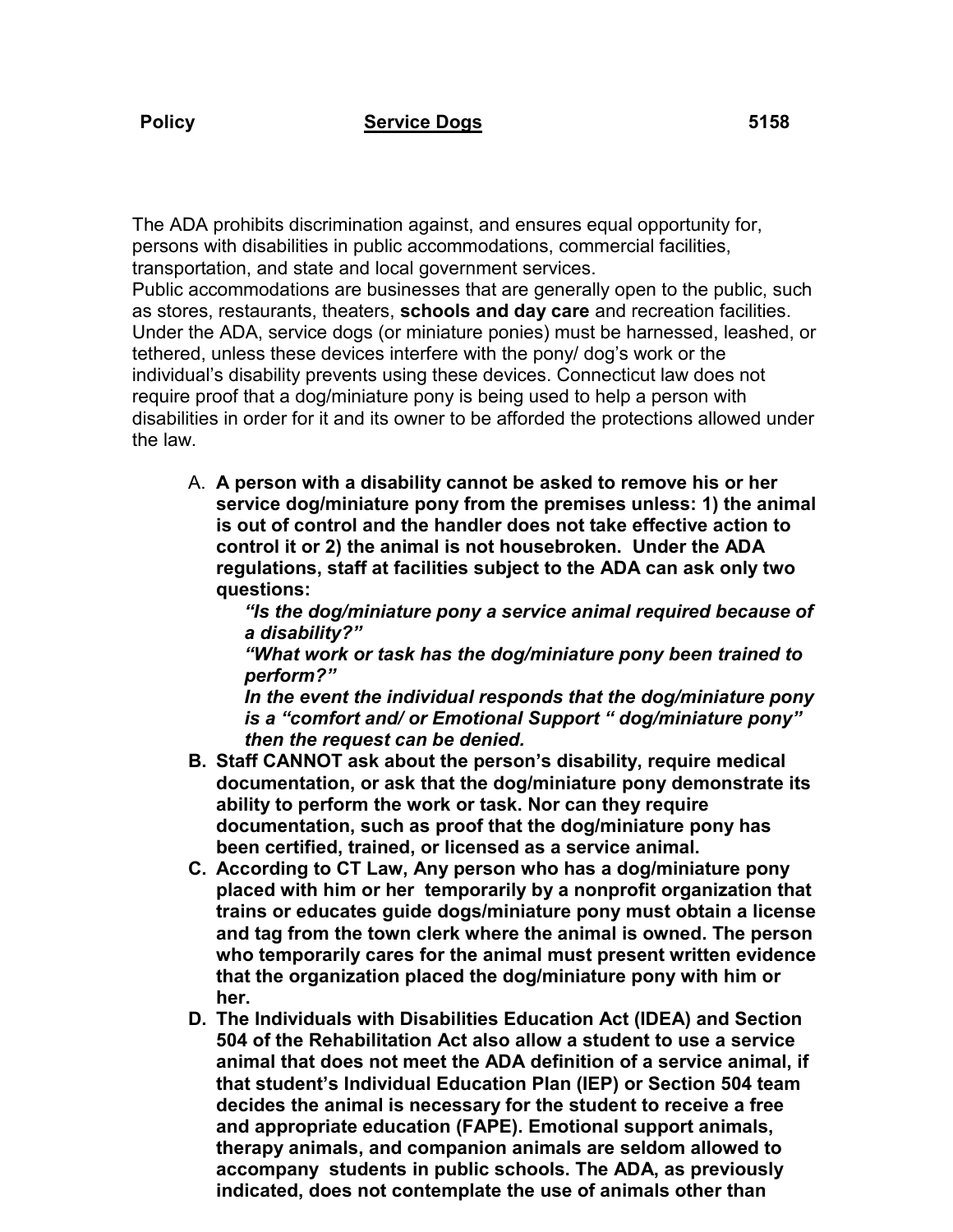The ADA prohibits discrimination against, and ensures equal opportunity for, persons with disabilities in public accommodations, commercial facilities, transportation, and state and local government services.

Public accommodations are businesses that are generally open to the public, such as stores, restaurants, theaters, **schools and day care** and recreation facilities. Under the ADA, service dogs (or miniature ponies) must be harnessed, leashed, or tethered, unless these devices interfere with the pony/ dog's work or the individual's disability prevents using these devices. Connecticut law does not require proof that a dog/miniature pony is being used to help a person with disabilities in order for it and its owner to be afforded the protections allowed under the law.

A. **A person with a disability cannot be asked to remove his or her service dog/miniature pony from the premises unless: 1) the animal is out of control and the handler does not take effective action to control it or 2) the animal is not housebroken. Under the ADA regulations, staff at facilities subject to the ADA can ask only two questions:**

*"Is the dog/miniature pony a service animal required because of a disability?"*

*"What work or task has the dog/miniature pony been trained to perform?"*

*In the event the individual responds that the dog/miniature pony is a "comfort and/ or Emotional Support " dog/miniature pony" then the request can be denied.*

- **B. Staff CANNOT ask about the person's disability, require medical documentation, or ask that the dog/miniature pony demonstrate its ability to perform the work or task. Nor can they require documentation, such as proof that the dog/miniature pony has been certified, trained, or licensed as a service animal.**
- **C. According to CT Law, Any person who has a dog/miniature pony placed with him or her temporarily by a nonprofit organization that trains or educates guide dogs/miniature pony must obtain a license and tag from the town clerk where the animal is owned. The person who temporarily cares for the animal must present written evidence that the organization placed the dog/miniature pony with him or her.**
- **D. The Individuals with Disabilities Education Act (IDEA) and Section 504 of the Rehabilitation Act also allow a student to use a service animal that does not meet the ADA definition of a service animal, if that student's Individual Education Plan (IEP) or Section 504 team decides the animal is necessary for the student to receive a free and appropriate education (FAPE). Emotional support animals, therapy animals, and companion animals are seldom allowed to accompany students in public schools. The ADA, as previously indicated, does not contemplate the use of animals other than**